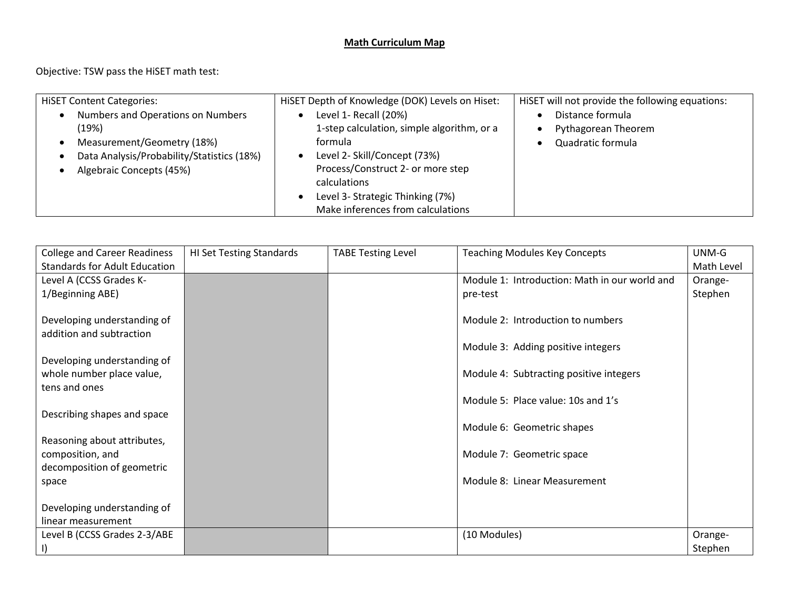## **Math Curriculum Map**

Objective: TSW pass the HiSET math test:

| <b>HISET Content Categories:</b>                                                                                                                   | HISET Depth of Knowledge (DOK) Levels on Hiset:                                                                                                                                                         | HiSET will not provide the following equations:              |
|----------------------------------------------------------------------------------------------------------------------------------------------------|---------------------------------------------------------------------------------------------------------------------------------------------------------------------------------------------------------|--------------------------------------------------------------|
| Numbers and Operations on Numbers<br>(19%)<br>Measurement/Geometry (18%)<br>Data Analysis/Probability/Statistics (18%)<br>Algebraic Concepts (45%) | Level 1- Recall (20%)<br>1-step calculation, simple algorithm, or a<br>formula<br>Level 2- Skill/Concept (73%)<br>Process/Construct 2- or more step<br>calculations<br>Level 3- Strategic Thinking (7%) | Distance formula<br>Pythagorean Theorem<br>Quadratic formula |
|                                                                                                                                                    | Make inferences from calculations                                                                                                                                                                       |                                                              |

| <b>College and Career Readiness</b>  | <b>HI Set Testing Standards</b> | <b>TABE Testing Level</b> | <b>Teaching Modules Key Concepts</b>          | UNM-G      |
|--------------------------------------|---------------------------------|---------------------------|-----------------------------------------------|------------|
| <b>Standards for Adult Education</b> |                                 |                           |                                               | Math Level |
| Level A (CCSS Grades K-              |                                 |                           | Module 1: Introduction: Math in our world and | Orange-    |
| 1/Beginning ABE)                     |                                 |                           | pre-test                                      | Stephen    |
|                                      |                                 |                           |                                               |            |
| Developing understanding of          |                                 |                           | Module 2: Introduction to numbers             |            |
| addition and subtraction             |                                 |                           |                                               |            |
|                                      |                                 |                           | Module 3: Adding positive integers            |            |
| Developing understanding of          |                                 |                           |                                               |            |
| whole number place value,            |                                 |                           | Module 4: Subtracting positive integers       |            |
| tens and ones                        |                                 |                           |                                               |            |
|                                      |                                 |                           | Module 5: Place value: 10s and 1's            |            |
| Describing shapes and space          |                                 |                           |                                               |            |
|                                      |                                 |                           | Module 6: Geometric shapes                    |            |
| Reasoning about attributes,          |                                 |                           |                                               |            |
| composition, and                     |                                 |                           | Module 7: Geometric space                     |            |
| decomposition of geometric           |                                 |                           | Module 8: Linear Measurement                  |            |
| space                                |                                 |                           |                                               |            |
| Developing understanding of          |                                 |                           |                                               |            |
| linear measurement                   |                                 |                           |                                               |            |
| Level B (CCSS Grades 2-3/ABE         |                                 |                           | (10 Modules)                                  | Orange-    |
|                                      |                                 |                           |                                               | Stephen    |
| -1)                                  |                                 |                           |                                               |            |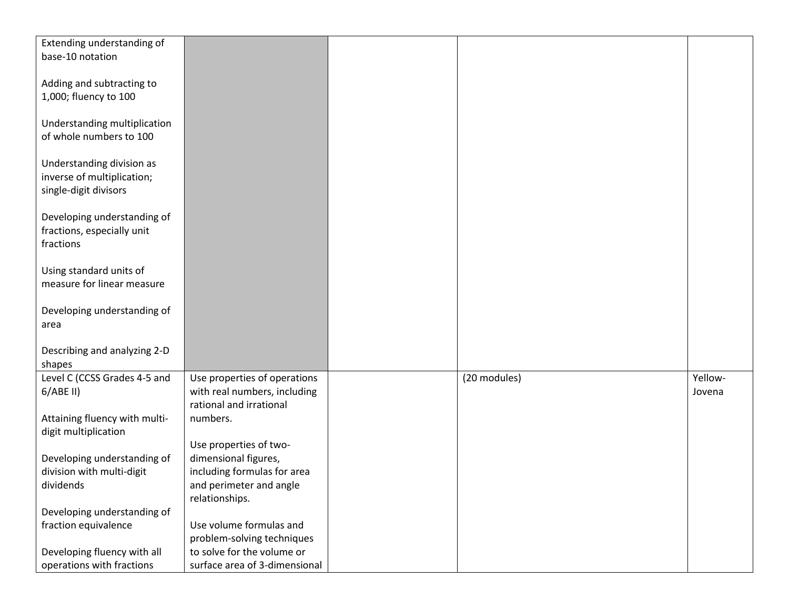| Extending understanding of    |                               |              |         |
|-------------------------------|-------------------------------|--------------|---------|
| base-10 notation              |                               |              |         |
|                               |                               |              |         |
|                               |                               |              |         |
| Adding and subtracting to     |                               |              |         |
| 1,000; fluency to 100         |                               |              |         |
|                               |                               |              |         |
| Understanding multiplication  |                               |              |         |
| of whole numbers to 100       |                               |              |         |
|                               |                               |              |         |
|                               |                               |              |         |
| Understanding division as     |                               |              |         |
| inverse of multiplication;    |                               |              |         |
| single-digit divisors         |                               |              |         |
|                               |                               |              |         |
| Developing understanding of   |                               |              |         |
| fractions, especially unit    |                               |              |         |
| fractions                     |                               |              |         |
|                               |                               |              |         |
| Using standard units of       |                               |              |         |
|                               |                               |              |         |
| measure for linear measure    |                               |              |         |
|                               |                               |              |         |
| Developing understanding of   |                               |              |         |
| area                          |                               |              |         |
|                               |                               |              |         |
| Describing and analyzing 2-D  |                               |              |         |
| shapes                        |                               |              |         |
| Level C (CCSS Grades 4-5 and  | Use properties of operations  | (20 modules) | Yellow- |
|                               |                               |              |         |
| $6/ABE$ II)                   | with real numbers, including  |              | Jovena  |
|                               | rational and irrational       |              |         |
| Attaining fluency with multi- | numbers.                      |              |         |
| digit multiplication          |                               |              |         |
|                               | Use properties of two-        |              |         |
| Developing understanding of   | dimensional figures,          |              |         |
| division with multi-digit     | including formulas for area   |              |         |
| dividends                     | and perimeter and angle       |              |         |
|                               | relationships.                |              |         |
|                               |                               |              |         |
| Developing understanding of   |                               |              |         |
| fraction equivalence          | Use volume formulas and       |              |         |
|                               | problem-solving techniques    |              |         |
| Developing fluency with all   | to solve for the volume or    |              |         |
| operations with fractions     | surface area of 3-dimensional |              |         |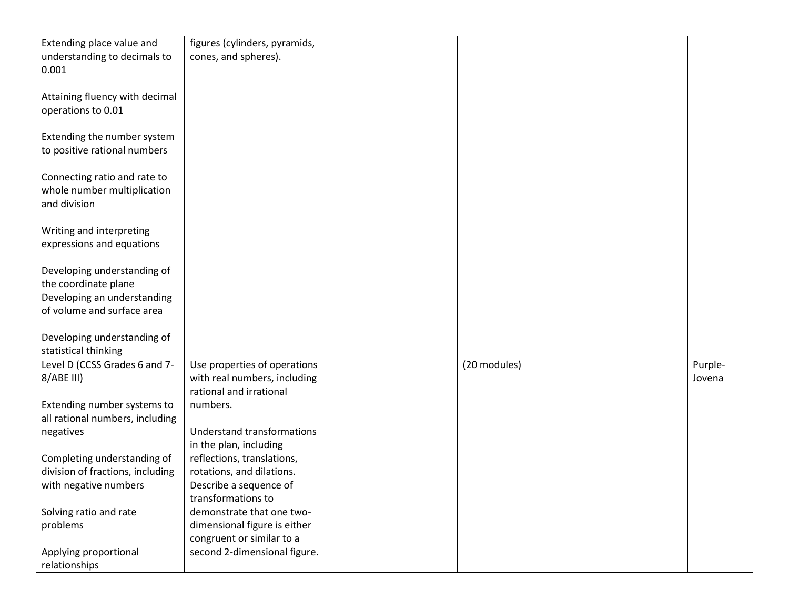| Extending place value and        | figures (cylinders, pyramids,     |              |         |
|----------------------------------|-----------------------------------|--------------|---------|
| understanding to decimals to     | cones, and spheres).              |              |         |
| 0.001                            |                                   |              |         |
|                                  |                                   |              |         |
|                                  |                                   |              |         |
| Attaining fluency with decimal   |                                   |              |         |
| operations to 0.01               |                                   |              |         |
|                                  |                                   |              |         |
| Extending the number system      |                                   |              |         |
| to positive rational numbers     |                                   |              |         |
|                                  |                                   |              |         |
| Connecting ratio and rate to     |                                   |              |         |
| whole number multiplication      |                                   |              |         |
| and division                     |                                   |              |         |
|                                  |                                   |              |         |
| Writing and interpreting         |                                   |              |         |
| expressions and equations        |                                   |              |         |
|                                  |                                   |              |         |
| Developing understanding of      |                                   |              |         |
| the coordinate plane             |                                   |              |         |
|                                  |                                   |              |         |
| Developing an understanding      |                                   |              |         |
| of volume and surface area       |                                   |              |         |
|                                  |                                   |              |         |
| Developing understanding of      |                                   |              |         |
| statistical thinking             |                                   |              |         |
| Level D (CCSS Grades 6 and 7-    | Use properties of operations      | (20 modules) | Purple- |
| 8/ABE III)                       | with real numbers, including      |              | Jovena  |
|                                  | rational and irrational           |              |         |
| Extending number systems to      | numbers.                          |              |         |
| all rational numbers, including  |                                   |              |         |
| negatives                        | <b>Understand transformations</b> |              |         |
|                                  | in the plan, including            |              |         |
| Completing understanding of      | reflections, translations,        |              |         |
| division of fractions, including | rotations, and dilations.         |              |         |
| with negative numbers            | Describe a sequence of            |              |         |
|                                  | transformations to                |              |         |
|                                  |                                   |              |         |
| Solving ratio and rate           | demonstrate that one two-         |              |         |
| problems                         | dimensional figure is either      |              |         |
|                                  | congruent or similar to a         |              |         |
| Applying proportional            | second 2-dimensional figure.      |              |         |
| relationships                    |                                   |              |         |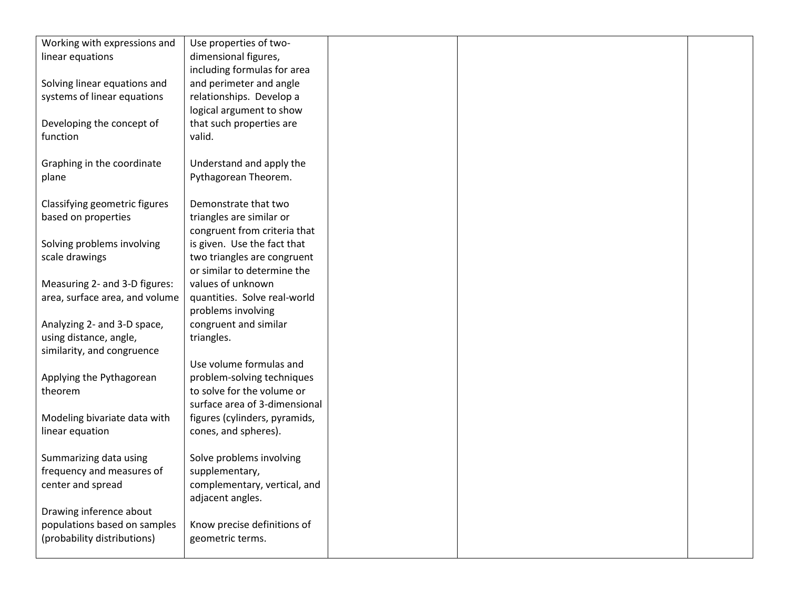| Working with expressions and   | Use properties of two-        |  |  |
|--------------------------------|-------------------------------|--|--|
| linear equations               | dimensional figures,          |  |  |
|                                | including formulas for area   |  |  |
| Solving linear equations and   | and perimeter and angle       |  |  |
| systems of linear equations    | relationships. Develop a      |  |  |
|                                | logical argument to show      |  |  |
| Developing the concept of      | that such properties are      |  |  |
| function                       | valid.                        |  |  |
|                                |                               |  |  |
| Graphing in the coordinate     | Understand and apply the      |  |  |
| plane                          | Pythagorean Theorem.          |  |  |
|                                |                               |  |  |
| Classifying geometric figures  | Demonstrate that two          |  |  |
| based on properties            | triangles are similar or      |  |  |
|                                | congruent from criteria that  |  |  |
| Solving problems involving     | is given. Use the fact that   |  |  |
| scale drawings                 | two triangles are congruent   |  |  |
|                                | or similar to determine the   |  |  |
| Measuring 2- and 3-D figures:  | values of unknown             |  |  |
| area, surface area, and volume | quantities. Solve real-world  |  |  |
|                                | problems involving            |  |  |
| Analyzing 2- and 3-D space,    | congruent and similar         |  |  |
| using distance, angle,         | triangles.                    |  |  |
| similarity, and congruence     |                               |  |  |
|                                | Use volume formulas and       |  |  |
| Applying the Pythagorean       | problem-solving techniques    |  |  |
| theorem                        | to solve for the volume or    |  |  |
|                                | surface area of 3-dimensional |  |  |
| Modeling bivariate data with   | figures (cylinders, pyramids, |  |  |
| linear equation                | cones, and spheres).          |  |  |
|                                |                               |  |  |
| Summarizing data using         | Solve problems involving      |  |  |
| frequency and measures of      | supplementary,                |  |  |
| center and spread              | complementary, vertical, and  |  |  |
|                                | adjacent angles.              |  |  |
| Drawing inference about        |                               |  |  |
| populations based on samples   | Know precise definitions of   |  |  |
| (probability distributions)    | geometric terms.              |  |  |
|                                |                               |  |  |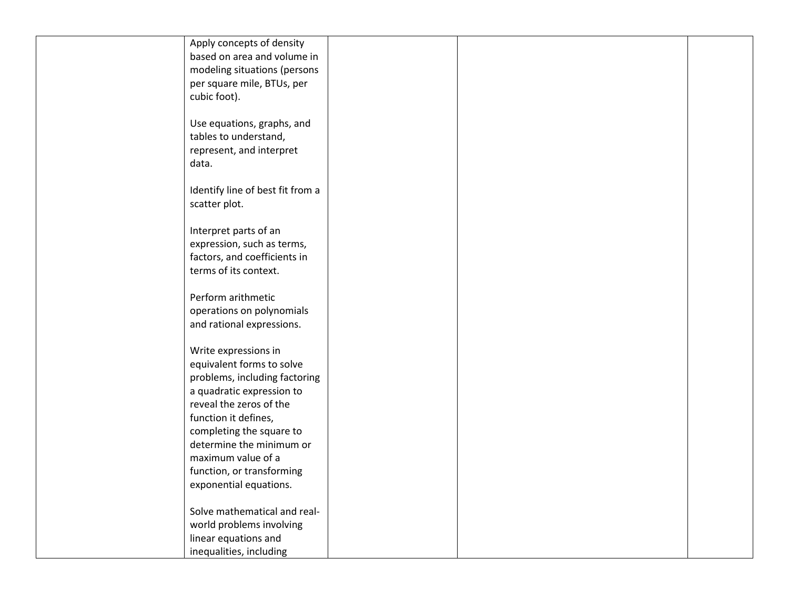| Apply concepts of density        |  |  |
|----------------------------------|--|--|
| based on area and volume in      |  |  |
| modeling situations (persons     |  |  |
| per square mile, BTUs, per       |  |  |
| cubic foot).                     |  |  |
|                                  |  |  |
| Use equations, graphs, and       |  |  |
| tables to understand,            |  |  |
| represent, and interpret         |  |  |
| data.                            |  |  |
|                                  |  |  |
| Identify line of best fit from a |  |  |
| scatter plot.                    |  |  |
|                                  |  |  |
| Interpret parts of an            |  |  |
| expression, such as terms,       |  |  |
| factors, and coefficients in     |  |  |
| terms of its context.            |  |  |
|                                  |  |  |
| Perform arithmetic               |  |  |
| operations on polynomials        |  |  |
| and rational expressions.        |  |  |
|                                  |  |  |
| Write expressions in             |  |  |
| equivalent forms to solve        |  |  |
| problems, including factoring    |  |  |
| a quadratic expression to        |  |  |
| reveal the zeros of the          |  |  |
| function it defines,             |  |  |
| completing the square to         |  |  |
| determine the minimum or         |  |  |
| maximum value of a               |  |  |
| function, or transforming        |  |  |
| exponential equations.           |  |  |
| Solve mathematical and real-     |  |  |
|                                  |  |  |
| world problems involving         |  |  |
| linear equations and             |  |  |
| inequalities, including          |  |  |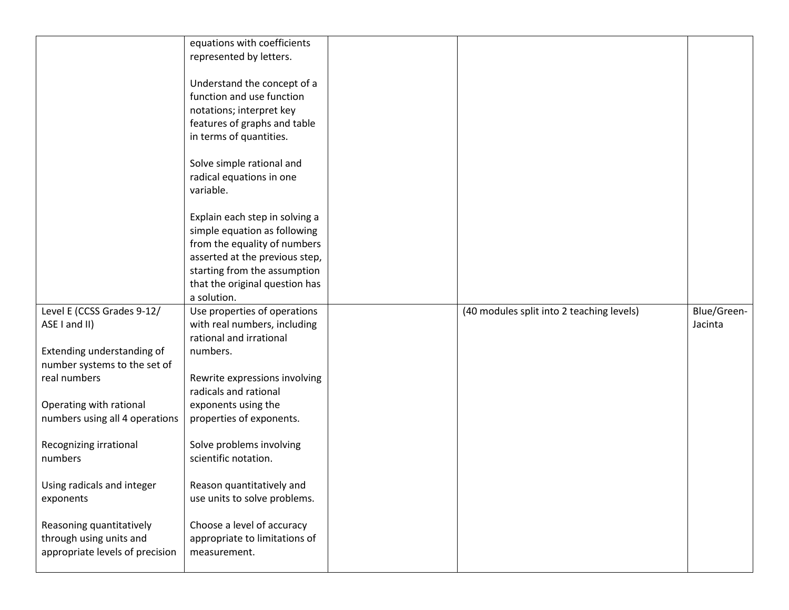|                                 | equations with coefficients    |                                           |             |
|---------------------------------|--------------------------------|-------------------------------------------|-------------|
|                                 | represented by letters.        |                                           |             |
|                                 |                                |                                           |             |
|                                 | Understand the concept of a    |                                           |             |
|                                 | function and use function      |                                           |             |
|                                 | notations; interpret key       |                                           |             |
|                                 | features of graphs and table   |                                           |             |
|                                 | in terms of quantities.        |                                           |             |
|                                 |                                |                                           |             |
|                                 | Solve simple rational and      |                                           |             |
|                                 | radical equations in one       |                                           |             |
|                                 | variable.                      |                                           |             |
|                                 |                                |                                           |             |
|                                 | Explain each step in solving a |                                           |             |
|                                 | simple equation as following   |                                           |             |
|                                 | from the equality of numbers   |                                           |             |
|                                 | asserted at the previous step, |                                           |             |
|                                 | starting from the assumption   |                                           |             |
|                                 | that the original question has |                                           |             |
|                                 | a solution.                    |                                           |             |
|                                 |                                |                                           |             |
| Level E (CCSS Grades 9-12/      | Use properties of operations   | (40 modules split into 2 teaching levels) | Blue/Green- |
| ASE I and II)                   | with real numbers, including   |                                           | Jacinta     |
|                                 | rational and irrational        |                                           |             |
| Extending understanding of      | numbers.                       |                                           |             |
| number systems to the set of    |                                |                                           |             |
| real numbers                    | Rewrite expressions involving  |                                           |             |
|                                 | radicals and rational          |                                           |             |
| Operating with rational         | exponents using the            |                                           |             |
| numbers using all 4 operations  | properties of exponents.       |                                           |             |
|                                 |                                |                                           |             |
| Recognizing irrational          | Solve problems involving       |                                           |             |
| numbers                         | scientific notation.           |                                           |             |
|                                 |                                |                                           |             |
| Using radicals and integer      | Reason quantitatively and      |                                           |             |
| exponents                       | use units to solve problems.   |                                           |             |
|                                 |                                |                                           |             |
| Reasoning quantitatively        | Choose a level of accuracy     |                                           |             |
| through using units and         | appropriate to limitations of  |                                           |             |
| appropriate levels of precision | measurement.                   |                                           |             |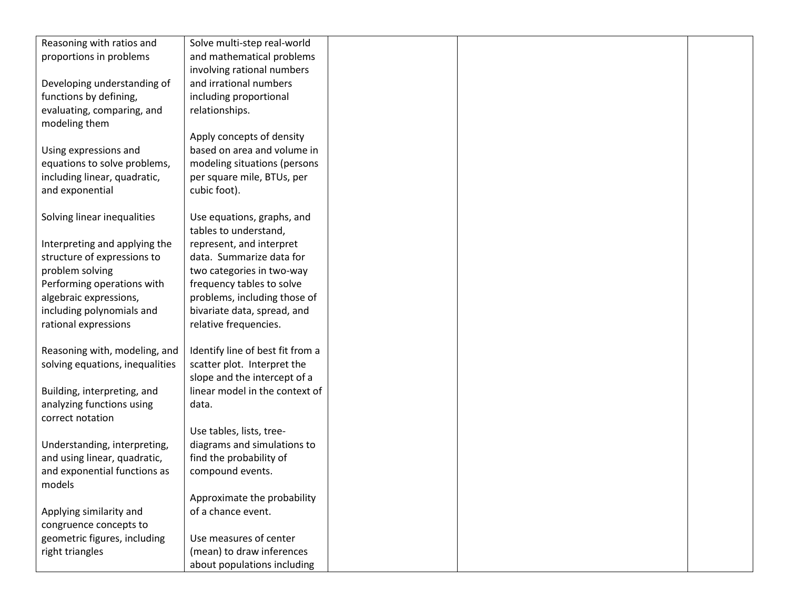| Reasoning with ratios and       | Solve multi-step real-world      |  |  |
|---------------------------------|----------------------------------|--|--|
| proportions in problems         | and mathematical problems        |  |  |
|                                 | involving rational numbers       |  |  |
| Developing understanding of     | and irrational numbers           |  |  |
| functions by defining,          | including proportional           |  |  |
| evaluating, comparing, and      | relationships.                   |  |  |
| modeling them                   |                                  |  |  |
|                                 | Apply concepts of density        |  |  |
| Using expressions and           | based on area and volume in      |  |  |
| equations to solve problems,    | modeling situations (persons     |  |  |
| including linear, quadratic,    | per square mile, BTUs, per       |  |  |
| and exponential                 | cubic foot).                     |  |  |
|                                 |                                  |  |  |
| Solving linear inequalities     | Use equations, graphs, and       |  |  |
|                                 | tables to understand,            |  |  |
| Interpreting and applying the   | represent, and interpret         |  |  |
| structure of expressions to     | data. Summarize data for         |  |  |
| problem solving                 | two categories in two-way        |  |  |
| Performing operations with      | frequency tables to solve        |  |  |
| algebraic expressions,          | problems, including those of     |  |  |
| including polynomials and       | bivariate data, spread, and      |  |  |
| rational expressions            | relative frequencies.            |  |  |
|                                 |                                  |  |  |
| Reasoning with, modeling, and   | Identify line of best fit from a |  |  |
| solving equations, inequalities | scatter plot. Interpret the      |  |  |
|                                 | slope and the intercept of a     |  |  |
| Building, interpreting, and     | linear model in the context of   |  |  |
| analyzing functions using       | data.                            |  |  |
| correct notation                |                                  |  |  |
|                                 | Use tables, lists, tree-         |  |  |
| Understanding, interpreting,    | diagrams and simulations to      |  |  |
| and using linear, quadratic,    | find the probability of          |  |  |
| and exponential functions as    | compound events.                 |  |  |
| models                          |                                  |  |  |
|                                 | Approximate the probability      |  |  |
| Applying similarity and         | of a chance event.               |  |  |
| congruence concepts to          |                                  |  |  |
| geometric figures, including    | Use measures of center           |  |  |
| right triangles                 | (mean) to draw inferences        |  |  |
|                                 | about populations including      |  |  |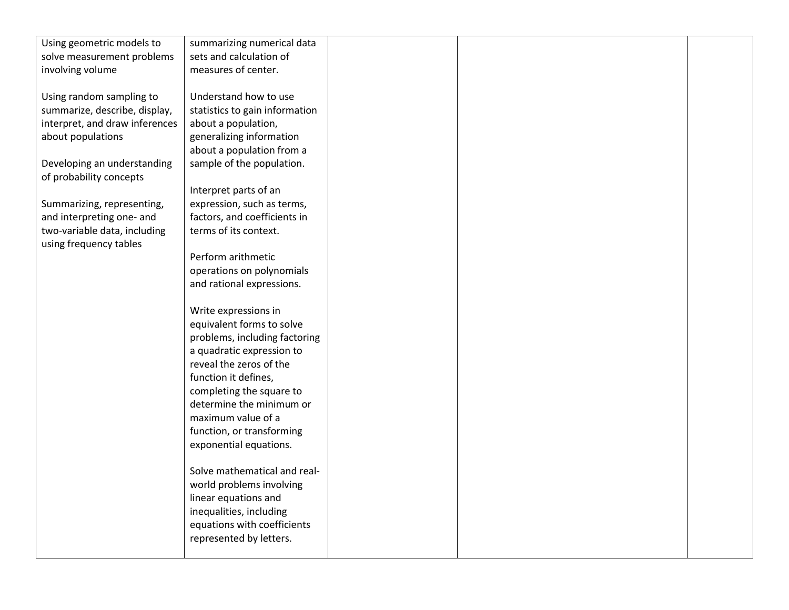| Using geometric models to      | summarizing numerical data     |  |  |
|--------------------------------|--------------------------------|--|--|
| solve measurement problems     | sets and calculation of        |  |  |
| involving volume               | measures of center.            |  |  |
|                                |                                |  |  |
| Using random sampling to       | Understand how to use          |  |  |
| summarize, describe, display,  | statistics to gain information |  |  |
| interpret, and draw inferences | about a population,            |  |  |
| about populations              | generalizing information       |  |  |
|                                | about a population from a      |  |  |
| Developing an understanding    | sample of the population.      |  |  |
| of probability concepts        |                                |  |  |
|                                | Interpret parts of an          |  |  |
| Summarizing, representing,     | expression, such as terms,     |  |  |
| and interpreting one- and      | factors, and coefficients in   |  |  |
| two-variable data, including   | terms of its context.          |  |  |
| using frequency tables         |                                |  |  |
|                                | Perform arithmetic             |  |  |
|                                | operations on polynomials      |  |  |
|                                | and rational expressions.      |  |  |
|                                |                                |  |  |
|                                | Write expressions in           |  |  |
|                                | equivalent forms to solve      |  |  |
|                                | problems, including factoring  |  |  |
|                                | a quadratic expression to      |  |  |
|                                | reveal the zeros of the        |  |  |
|                                | function it defines,           |  |  |
|                                | completing the square to       |  |  |
|                                | determine the minimum or       |  |  |
|                                | maximum value of a             |  |  |
|                                | function, or transforming      |  |  |
|                                | exponential equations.         |  |  |
|                                |                                |  |  |
|                                | Solve mathematical and real-   |  |  |
|                                | world problems involving       |  |  |
|                                | linear equations and           |  |  |
|                                | inequalities, including        |  |  |
|                                | equations with coefficients    |  |  |
|                                | represented by letters.        |  |  |
|                                |                                |  |  |
|                                |                                |  |  |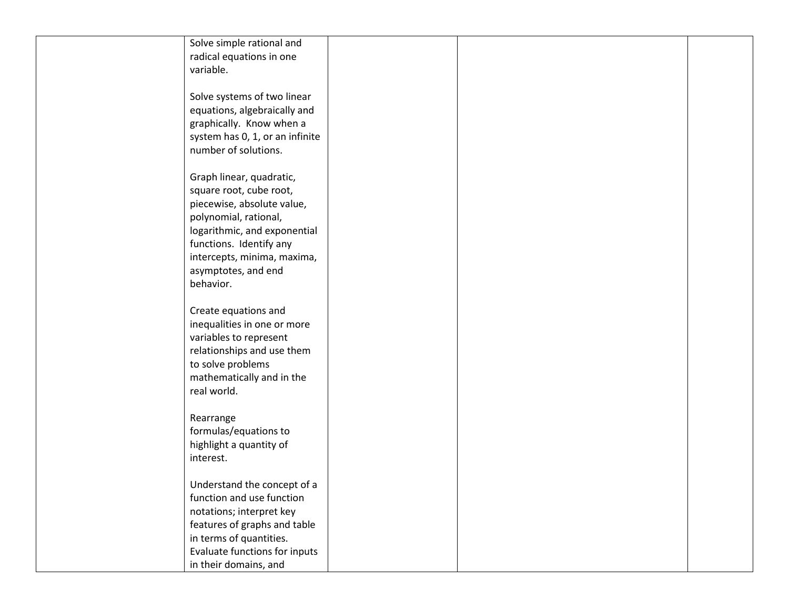| Solve simple rational and       |  |
|---------------------------------|--|
| radical equations in one        |  |
| variable.                       |  |
|                                 |  |
| Solve systems of two linear     |  |
| equations, algebraically and    |  |
| graphically. Know when a        |  |
| system has 0, 1, or an infinite |  |
| number of solutions.            |  |
|                                 |  |
| Graph linear, quadratic,        |  |
| square root, cube root,         |  |
| piecewise, absolute value,      |  |
| polynomial, rational,           |  |
| logarithmic, and exponential    |  |
| functions. Identify any         |  |
| intercepts, minima, maxima,     |  |
| asymptotes, and end             |  |
| behavior.                       |  |
|                                 |  |
| Create equations and            |  |
| inequalities in one or more     |  |
| variables to represent          |  |
| relationships and use them      |  |
| to solve problems               |  |
| mathematically and in the       |  |
| real world.                     |  |
|                                 |  |
| Rearrange                       |  |
| formulas/equations to           |  |
| highlight a quantity of         |  |
| interest.                       |  |
|                                 |  |
| Understand the concept of a     |  |
| function and use function       |  |
| notations; interpret key        |  |
| features of graphs and table    |  |
| in terms of quantities.         |  |
| Evaluate functions for inputs   |  |
| in their domains, and           |  |